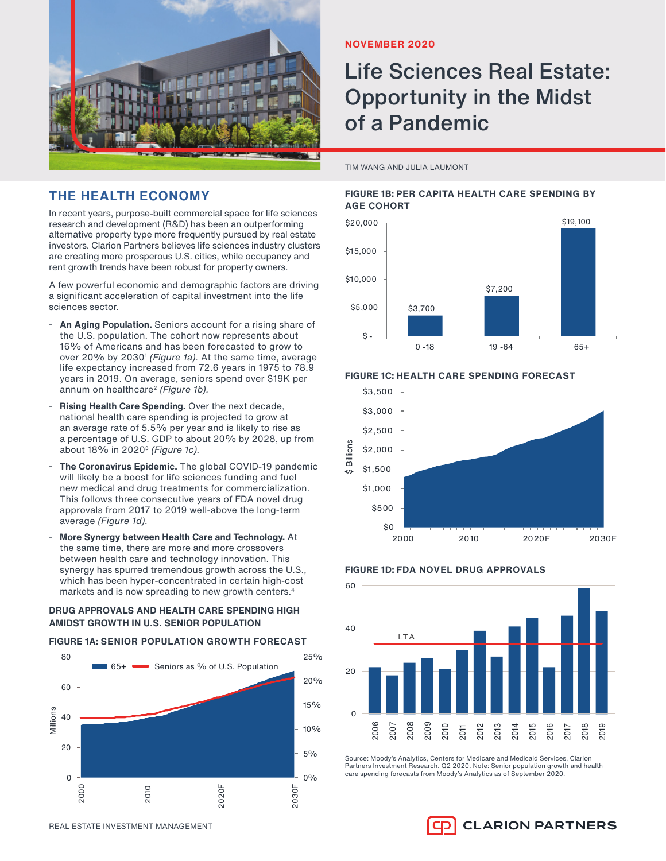

# **THE HEALTH ECONOMY**

In recent years, purpose-built commercial space for life sciences research and development (R&D) has been an outperforming alternative property type more frequently pursued by real estate investors. Clarion Partners believes life sciences industry clusters are creating more prosperous U.S. cities, while occupancy and rent growth trends have been robust for property owners.

A few powerful economic and demographic factors are driving a significant acceleration of capital investment into the life sciences sector.

- An Aging Population. Seniors account for a rising share of the U.S. population. The cohort now represents about 16% of Americans and has been forecasted to grow to over 20% by 2030<sup>1</sup> (Figure 1a). At the same time, average life expectancy increased from 72.6 years in 1975 to 78.9 years in 2019. On average, seniors spend over \$19K per annum on healthcare<sup>2</sup> (Figure 1b).
- Rising Health Care Spending. Over the next decade, national health care spending is projected to grow at an average rate of 5.5% per year and is likely to rise as a percentage of U.S. GDP to about 20% by 2028, up from about  $18\%$  in  $2020<sup>3</sup>$  (Figure 1c).
- The Coronavirus Epidemic. The global COVID-19 pandemic will likely be a boost for life sciences funding and fuel new medical and drug treatments for commercialization. This follows three consecutive years of FDA novel drug approvals from 2017 to 2019 well-above the long-term average (Figure 1d).
- **More Synergy between Health Care and Technology.** At the same time, there are more and more crossovers between health care and technology innovation. This synergy has spurred tremendous growth across the U.S., which has been hyper-concentrated in certain high-cost markets and is now spreading to new growth centers.<sup>4</sup>

#### **DRUG APPROVALS AND HEALTH CARE SPENDING HIGH AMIDST GROWTH IN U.S. SENIOR POPULATION**

#### **FIGURE 1A: SENIOR POPULATION GROWTH FORECAST**



## **NOVEMBER 2020**

# Life Sciences Real Estate: Opportunity in the Midst of a Pandemic

TIM WANG AND JULIA LAUMONT

## **FIGURE 1B: PER CAPITA HEALTH CARE SPENDING BY AGE COHORT**







## **FIGURE 1D: FDA NOVEL DRUG APPROVALS**



Source: Moody's Analytics, Centers for Medicare and Medicaid Services, Clarion Partners Investment Research. Q2 2020. Note: Senior population growth and health care spending forecasts from Moody's Analytics as of September 2020.

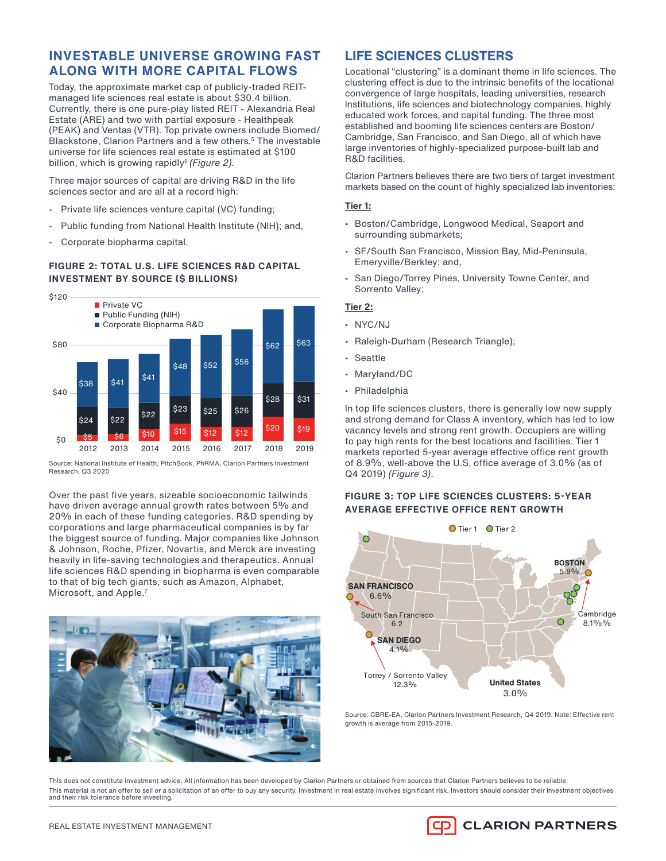# **INVESTABLE UNIVERSE GROWING FAST ALONG WITH MORE CAPITAL FLOWS**

Today, the approximate market cap of publicly-traded REITmanaged life sciences real estate is about \$30.4 billion. Currently, there is one pure-play listed REIT - Alexandria Real Estate (ARE) and two with partial exposure - Healthpeak (PEAK) and Ventas (VTR). Top private owners include Biomed/ Blackstone, Clarion Partners and a few others. <sup>5</sup> The investable universe for life sciences real estate is estimated at \$100 billion, which is growing rapidly $6$  (Figure 2).

Three major sources of capital are driving R&D in the life sciences sector and are all at a record high:

- Private life sciences venture capital (VC) funding;
- Public funding from National Health Institute (NIH); and,
- Corporate biopharma capital.

## **FIGURE 2: TOTAL U.S. LIFE SCIENCES R&D CAPITAL INVESTMENT BY SOURCE (\$ BILLIONS)**



Source: National Institute of Health, PitchBook, PhRMA, Clarion Partners Investment Research. Q3 2020

Over the past five years, sizeable socioeconomic tailwinds have driven average annual growth rates between 5% and 20% in each of these funding categories. R&D spending by corporations and large pharmaceutical companies is by far the biggest source of funding. Major companies like Johnson & Johnson, Roche, Pfizer, Novartis, and Merck are investing heavily in life-saving technologies and therapeutics. Annual life sciences R&D spending in biopharma is even comparable to that of big tech giants, such as Amazon, Alphabet, Microsoft, and Apple.7



# **LIFE SCIENCES CLUSTERS**

Locational "clustering" is a dominant theme in life sciences. The clustering effect is due to the intrinsic benefits of the locational convergence of large hospitals, leading universities, research institutions, life sciences and biotechnology companies, highly educated work forces, and capital funding. The three most established and booming life sciences centers are Boston/ Cambridge, San Francisco, and San Diego, all of which have large inventories of highly-specialized purpose-built lab and R&D facilities.

Clarion Partners believes there are two tiers of target investment markets based on the count of highly specialized lab inventories:

#### **Tier 1:**

- Boston/Cambridge, Longwood Medical, Seaport and surrounding submarkets;
- SF/South San Francisco, Mission Bay, Mid-Peninsula, Emeryville/Berkley; and,
- San Diego/Torrey Pines, University Towne Center, and Sorrento Valley;

#### **Tier 2:**

- NYC/NJ
- Raleigh-Durham (Research Triangle);
- Seattle
- Maryland/DC
- Philadelphia

In top life sciences clusters, there is generally low new supply and strong demand for Class A inventory, which has led to low vacancy levels and strong rent growth. Occupiers are willing to pay high rents for the best locations and facilities. Tier 1 markets reported 5-year average effective office rent growth of 8.9%, well-above the U.S. office average of  $3.0\%$  (as of Q4 2019) (Figure 3).

## **FIGURE 3: TOP LIFE SCIENCES CLUSTERS: 5-YEAR AVERAGE EFFECTIVE OFFICE RENT GROWTH**



Source: CBRE-EA, Clarion Partners Investment Research, Q4 2019. Note: Effective rent growth is average from 2015-2019.

This does not constitute investment advice. All information has been developed by Clarion Partners or obtained from sources that Clarion Partners believes to be reliable. This material is not an offer to sell or a solicitation of an offer to buy any security. Investment in real estate involves significant risk. Investors should consider their investment objectives and their risk tolerance before investing.